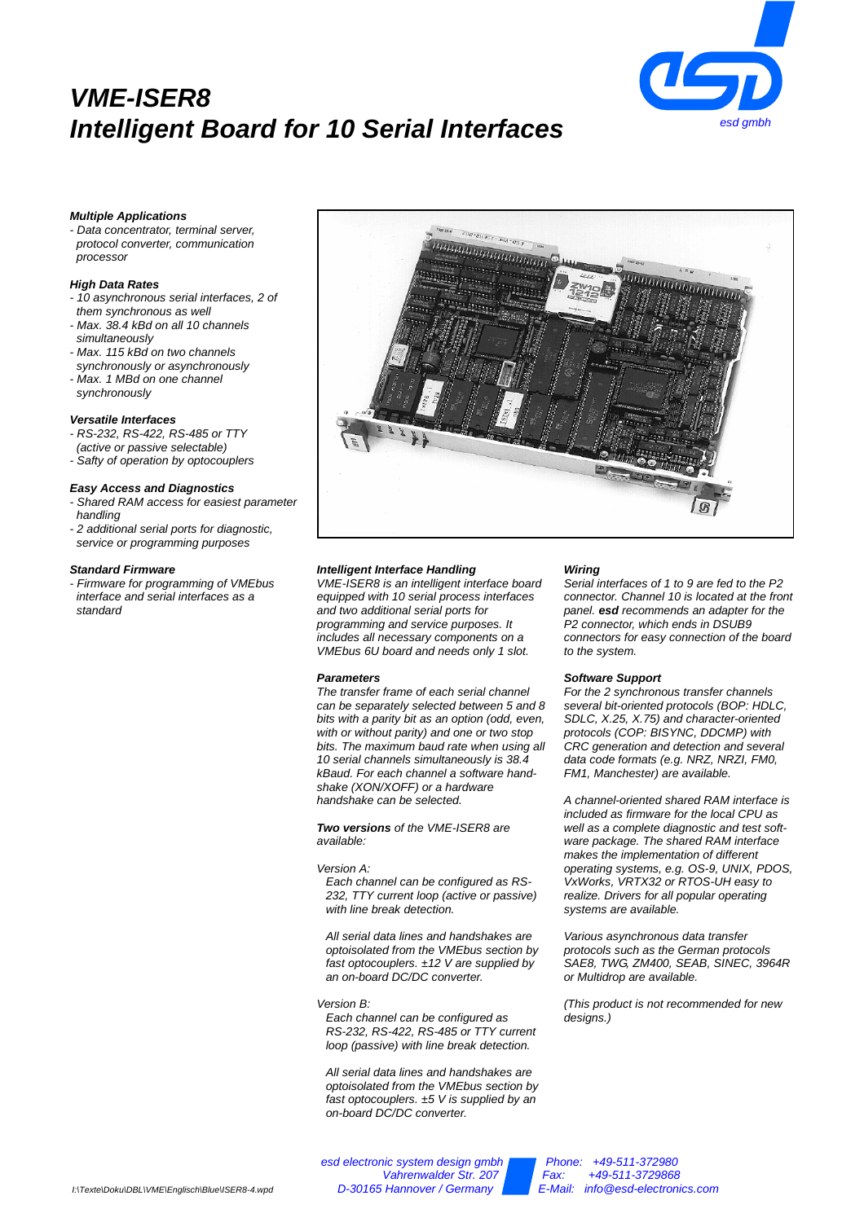# **VME-ISER8 Intelligent Board for 10 Serial Interfaces**



# **Multiple Applications**

- Data concentrator, terminal server, protocol converter, communication processor

#### **High Data Rates**

- 10 asynchronous serial interfaces, 2 of them synchronous as well
- Max. 38.4 kBd on all 10 channels simultaneously
- Max. 115 kBd on two channels
- synchronously or asynchronously - Max. 1 MBd on one channel
- synchronously

#### **Versatile Interfaces**

- RS-232, RS-422, RS-485 or TTY
- (active or passive selectable)

# - Safty of operation by optocouplers

#### **Easy Access and Diagnostics**

- Shared RAM access for easiest parameter handling
- 2 additional serial ports for diagnostic, service or programming purposes

#### **Standard Firmware**

- Firmware for programming of VMEbus interface and serial interfaces as a standard



#### **Intelligent Interface Handling**

VME-ISER8 is an intelligent interface board equipped with 10 serial process interfaces and two additional serial ports for programming and service purposes. It includes all necessary components on a VMEbus 6U board and needs only 1 slot.

#### **Parameters**

The transfer frame of each serial channel can be separately selected between 5 and 8 bits with a parity bit as an option (odd, even, with or without parity) and one or two stop bits. The maximum baud rate when using all 10 serial channels simultaneously is 38.4 kBaud. For each channel a software handshake (XON/XOFF) or a hardware handshake can be selected.

**Two versions** of the VME-ISER8 are available:

## Version A:

Each channel can be configured as RS-232, TTY current loop (active or passive) with line break detection.

All serial data lines and handshakes are optoisolated from the VMEbus section by fast optocouplers.  $±12$  V are supplied by an on-board DC/DC converter.

Version B: Each channel can be configured as RS-232, RS-422, RS-485 or TTY current loop (passive) with line break detection.

All serial data lines and handshakes are optoisolated from the VMEbus section by fast optocouplers.  $±5$  V is supplied by an on-board DC/DC converter.

#### **Wiring**

Serial interfaces of 1 to 9 are fed to the P2 connector. Channel 10 is located at the front panel. **esd** recommends an adapter for the .<br>P2 connector, which ends in DSUB9 connectors for easy connection of the board to the system.

## **Software Support**

For the 2 synchronous transfer channels several bit-oriented protocols (BOP: HDLC, SDLC, X.25, X.75) and character-oriented protocols (COP: BISYNC, DDCMP) with CRC generation and detection and several data code formats (e.g. NRZ, NRZI, FM0, FM1, Manchester) are available.

A channel-oriented shared RAM interface is included as firmware for the local CPU as well as a complete diagnostic and test software package. The shared RAM interface makes the implementation of different operating systems, e.g. OS-9, UNIX, PDOS, VxWorks, VRTX32 or RTOS-UH easy to realize. Drivers for all popular operating systems are available.

Various asynchronous data transfer protocols such as the German protocols SAE8, TWG, ZM400, SEAB, SINEC, 3964R or Multidrop are available.

(This product is not recommended for new designs.)

Vahrenwalder Str. 207 Fax: +49-511-3729868<br>E-Mail: info@esd-electron